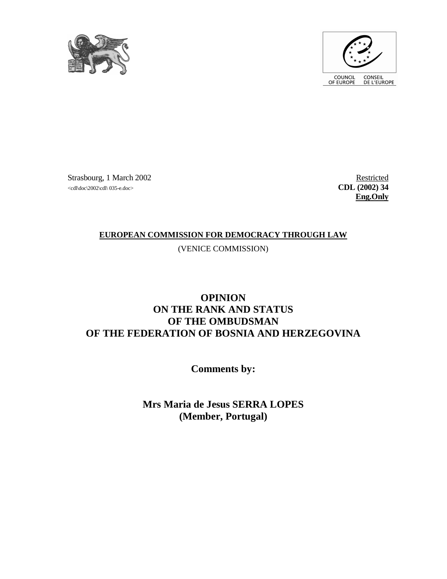



Strasbourg, 1 March 2002 Restricted  $\text{CDL}$  (2002)  $\text{d}\Omega$  (2002) 34

**Eng.Only**

## **EUROPEAN COMMISSION FOR DEMOCRACY THROUGH LAW**

(VENICE COMMISSION)

## **OPINION ON THE RANK AND STATUS OF THE OMBUDSMAN OF THE FEDERATION OF BOSNIA AND HERZEGOVINA**

**Comments by:** 

**Mrs Maria de Jesus SERRA LOPES (Member, Portugal)**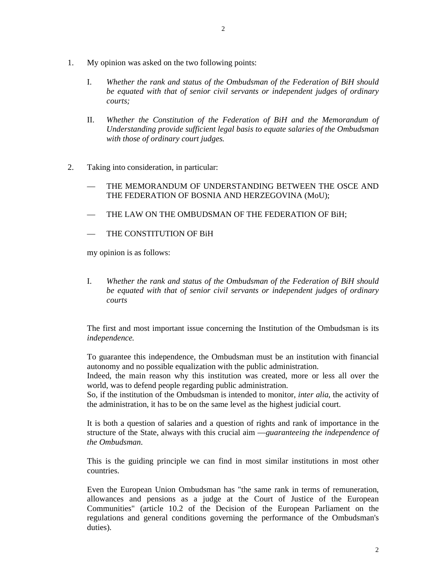- 1. My opinion was asked on the two following points:
	- I. *Whether the rank and status of the Ombudsman of the Federation of BiH should be equated with that of senior civil servants or independent judges of ordinary courts;*
	- II. *Whether the Constitution of the Federation of BiH and the Memorandum of Understanding provide sufficient legal basis to equate salaries of the Ombudsman with those of ordinary court judges.*
- 2. Taking into consideration, in particular:
	- THE MEMORANDUM OF UNDERSTANDING BETWEEN THE OSCE AND THE FEDERATION OF BOSNIA AND HERZEGOVINA (MoU);
	- THE LAW ON THE OMBUDSMAN OF THE FEDERATION OF BiH;
	- THE CONSTITUTION OF BiH

my opinion is as follows:

I. *Whether the rank and status of the Ombudsman of the Federation of BiH should be equated with that of senior civil servants or independent judges of ordinary courts* 

The first and most important issue concerning the Institution of the Ombudsman is its *independence.* 

To guarantee this independence, the Ombudsman must be an institution with financial autonomy and no possible equalization with the public administration.

Indeed, the main reason why this institution was created, more or less all over the world, was to defend people regarding public administration.

So, if the institution of the Ombudsman is intended to monitor, *inter alia*, the activity of the administration, it has to be on the same level as the highest judicial court.

It is both a question of salaries and a question of rights and rank of importance in the structure of the State, always with this crucial aim —*guaranteeing the independence of the Ombudsman*.

This is the guiding principle we can find in most similar institutions in most other countries.

Even the European Union Ombudsman has "the same rank in terms of remuneration, allowances and pensions as a judge at the Court of Justice of the European Communities" (article 10.2 of the Decision of the European Parliament on the regulations and general conditions governing the performance of the Ombudsman's duties).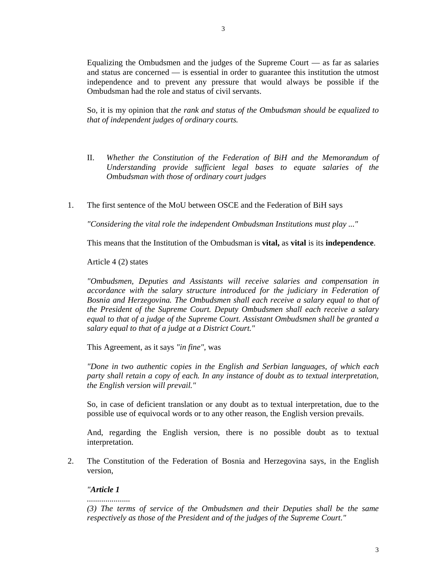Equalizing the Ombudsmen and the judges of the Supreme Court — as far as salaries and status are concerned — is essential in order to guarantee this institution the utmost independence and to prevent any pressure that would always be possible if the Ombudsman had the role and status of civil servants.

So, it is my opinion that *the rank and status of the Ombudsman should be equalized to that of independent judges of ordinary courts.* 

- II. *Whether the Constitution of the Federation of BiH and the Memorandum of Understanding provide sufficient legal bases to equate salaries of the Ombudsman with those of ordinary court judges*
- 1. The first sentence of the MoU between OSCE and the Federation of BiH says

*"Considering the vital role the independent Ombudsman Institutions must play ..."* 

This means that the Institution of the Ombudsman is **vital,** as **vital** is its **independence**.

Article 4 (2) states

*"Ombudsmen, Deputies and Assistants will receive salaries and compensation in accordance with the salary structure introduced for the judiciary in Federation of Bosnia and Herzegovina. The Ombudsmen shall each receive a salary equal to that of the President of the Supreme Court. Deputy Ombudsmen shall each receive a salary equal to that of a judge of the Supreme Court. Assistant Ombudsmen shall be granted a salary equal to that of a judge at a District Court."* 

This Agreement, as it says *"in fine"*, was

 *"Done in two authentic copies in the English and Serbian languages, of which each party shall retain a copy of each. In any instance of doubt as to textual interpretation, the English version will prevail."* 

So, in case of deficient translation or any doubt as to textual interpretation, due to the possible use of equivocal words or to any other reason, the English version prevails.

 And, regarding the English version, there is no possible doubt as to textual interpretation.

2. The Constitution of the Federation of Bosnia and Herzegovina says, in the English version,

## *"Article 1*

*.....................* 

 *(3) The terms of service of the Ombudsmen and their Deputies shall be the same respectively as those of the President and of the judges of the Supreme Court."*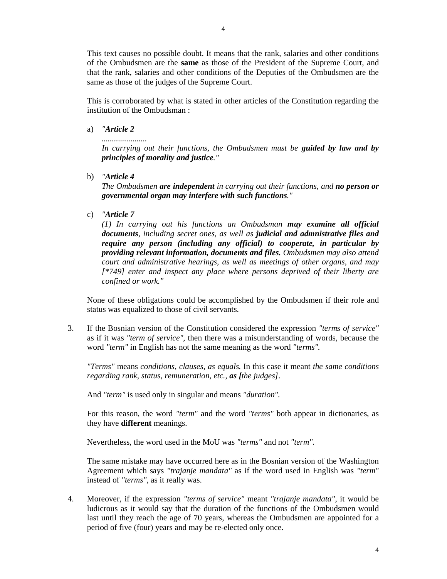This text causes no possible doubt. It means that the rank, salaries and other conditions of the Ombudsmen are the **same** as those of the President of the Supreme Court, and that the rank, salaries and other conditions of the Deputies of the Ombudsmen are the same as those of the judges of the Supreme Court.

 This is corroborated by what is stated in other articles of the Constitution regarding the institution of the Ombudsman :

a) *"Article 2* 

*...................... In carrying out their functions, the Ombudsmen must be guided by law and by principles of morality and justice."* 

b) *"Article 4* 

*The Ombudsmen are independent in carrying out their functions, and no person or governmental organ may interfere with such functions."* 

c) *"Article 7* 

*(1) In carrying out his functions an Ombudsman may examine all official documents, including secret ones, as well as judicial and admnistrative files and require any person (including any official) to cooperate, in particular by providing relevant information, documents and files. Ombudsmen may also attend court and administrative hearings, as well as meetings of other organs, and may [\*749] enter and inspect any place where persons deprived of their liberty are confined or work."* 

None of these obligations could be accomplished by the Ombudsmen if their role and status was equalized to those of civil servants.

3. If the Bosnian version of the Constitution considered the expression *"terms of service"* as if it was *"term of service"*, then there was a misunderstanding of words, because the word *"term"* in English has not the same meaning as the word *"terms".* 

*"Terms"* means *conditions, clauses, as equals.* In this case it meant *the same conditions regarding rank, status, remuneration, etc., as [the judges]*.

And *"term"* is used only in singular and means *"duration".*

 For this reason, the word *"term"* and the word *"terms"* both appear in dictionaries, as they have **different** meanings.

Nevertheless, the word used in the MoU was *"terms"* and not *"term".* 

The same mistake may have occurred here as in the Bosnian version of the Washington Agreement which says *"trajanje mandata"* as if the word used in English was *"term"*  instead of *"terms",* as it really was.

4. Moreover, if the expression *"terms of service"* meant *"trajanje mandata"*, it would be ludicrous as it would say that the duration of the functions of the Ombudsmen would last until they reach the age of 70 years, whereas the Ombudsmen are appointed for a period of five (four) years and may be re-elected only once.